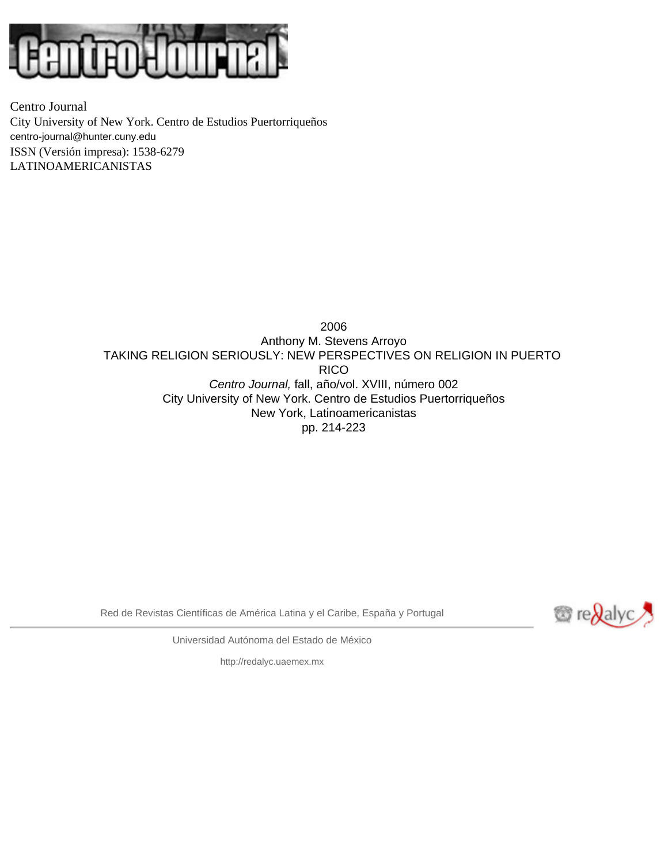

Centro Journal City University of New York. Centro de Estudios Puertorriqueños [centro-journal@hunter.cuny.edu](mailto:centro-journal@hunter.cuny.edu) ISSN (Versión impresa): 1538-6279 LATINOAMERICANISTAS

> 2006 Anthony M. Stevens Arroyo TAKING RELIGION SERIOUSLY: NEW PERSPECTIVES ON RELIGION IN PUERTO RICO *Centro Journal,* fall, año/vol. XVIII, número 002 City University of New York. Centro de Estudios Puertorriqueños New York, Latinoamericanistas pp. 214-223

Red de Revistas Científicas de América Latina y el Caribe, España y Portugal



Universidad Autónoma del Estado de México

[http://redalyc.uaemex.mx](http://redalyc.uaemex.mx/)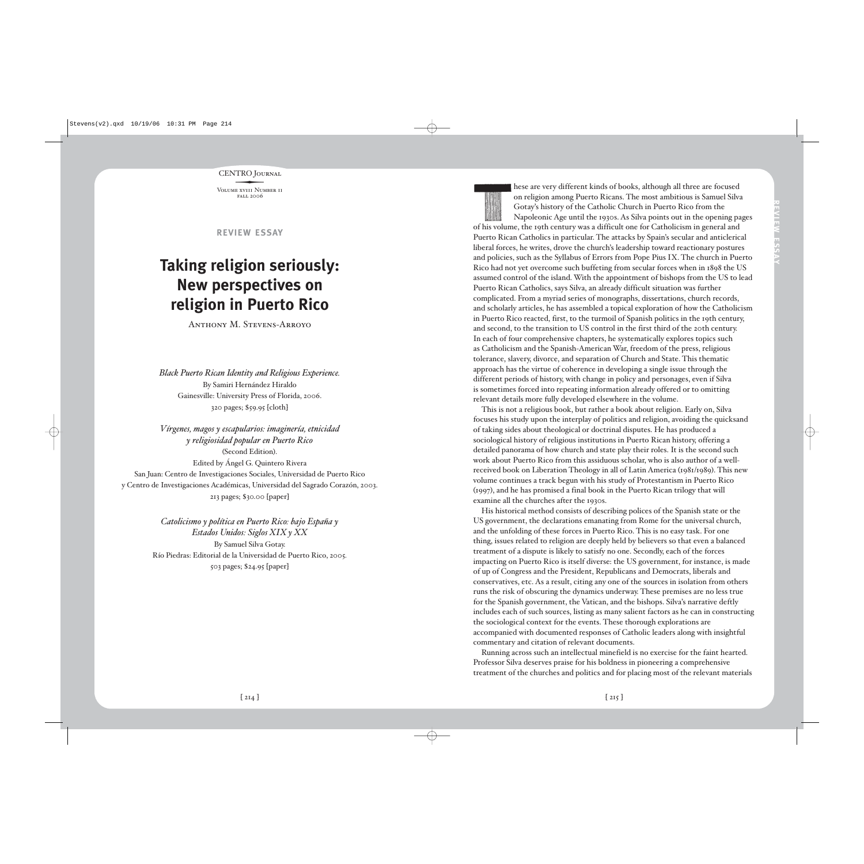CENTRO JOURNAL<br>VOLUME XVIII NUMBER I

Volume xv1ii Number ii fall 2006

**REVIEW ESSAY**

## **Taking religion seriously: New perspectives on religion in Puerto Rico**

Anthony M. Stevens-Arroyo

*Black Puerto Rican Identity and Religious Experience.* By Samiri Hernández Hiraldo Gainesville: University Press of Florida, 2006. 320 pages; \$59.95 [cloth]

*Vírgenes, magos y escapularios: imaginería, etnicidad y religiosidad popular en Puerto Rico*  (Second Edition). Edited by Ángel G. Quintero Rivera San Juan: Centro de Investigaciones Sociales, Universidad de Puerto Rico y Centro de Investigaciones Académicas, Universidad del Sagrado Corazón, 2003. 213 pages; \$30.00 [paper]

> *Catolicismo y política en Puerto Rico: bajo España y Estados Unidos: Siglos XIX y XX* By Samuel Silva Gotay. Río Piedras: Editorial de la Universidad de Puerto Rico, 2005. 503 pages; \$24.95 [paper]

hese are very different kinds of books, although all three are focused on religion among Puerto Ricans. The most ambitious is Samuel Silva Gotay's history of the Catholic Church in Puerto Rico from the Napoleonic Age until the 1930s. As Silva points out in the opening pages of his volume, the 19th century was a difficult one for Catholicism in general and Puerto Rican Catholics in particular. The attacks by Spain's secular and anticlerical liberal forces, he writes, drove the church's leadership toward reactionary postures and policies, such as the Syllabus of Errors from Pope Pius IX. The church in Puerto Rico had not yet overcome such buffeting from secular forces when in 1898 the US assumed control of the island. With the appointment of bishops from the US to lead Puerto Rican Catholics, says Silva, an already difficult situation was further complicated. From a myriad series of monographs, dissertations, church records, and scholarly articles, he has assembled a topical exploration of how the Catholicism in Puerto Rico reacted, first, to the turmoil of Spanish politics in the 19th century, and second, to the transition to US control in the first third of the 20th century. In each of four comprehensive chapters, he systematically explores topics such as Catholicism and the Spanish-American War, freedom of the press, religious tolerance, slavery, divorce, and separation of Church and State. This thematic approach has the virtue of coherence in developing a single issue through the different periods of history, with change in policy and personages, even if Silva is sometimes forced into repeating information already offered or to omitting relevant details more fully developed elsewhere in the volume.

This is not a religious book, but rather a book about religion. Early on, Silva focuses his study upon the interplay of politics and religion, avoiding the quicksand of taking sides about theological or doctrinal disputes. He has produced a sociological history of religious institutions in Puerto Rican history, offering a detailed panorama of how church and state play their roles. It is the second such work about Puerto Rico from this assiduous scholar, who is also author of a wellreceived book on Liberation Theology in all of Latin America (1981/1989). This new volume continues a track begun with his study of Protestantism in Puerto Rico (1997), and he has promised a final book in the Puerto Rican trilogy that will examine all the churches after the 1930s.

His historical method consists of describing polices of the Spanish state or the US government, the declarations emanating from Rome for the universal church, and the unfolding of these forces in Puerto Rico. This is no easy task. For one thing, issues related to religion are deeply held by believers so that even a balanced treatment of a dispute is likely to satisfy no one. Secondly, each of the forces impacting on Puerto Rico is itself diverse: the US government, for instance, is made of up of Congress and the President, Republicans and Democrats, liberals and conservatives, etc. As a result, citing any one of the sources in isolation from others runs the risk of obscuring the dynamics underway. These premises are no less true for the Spanish government, the Vatican, and the bishops. Silva's narrative deftly includes each of such sources, listing as many salient factors as he can in constructing the sociological context for the events. These thorough explorations are accompanied with documented responses of Catholic leaders along with insightful commentary and citation of relevant documents.

Running across such an intellectual minefield is no exercise for the faint hearted. Professor Silva deserves praise for his boldness in pioneering a comprehensive treatment of the churches and politics and for placing most of the relevant materials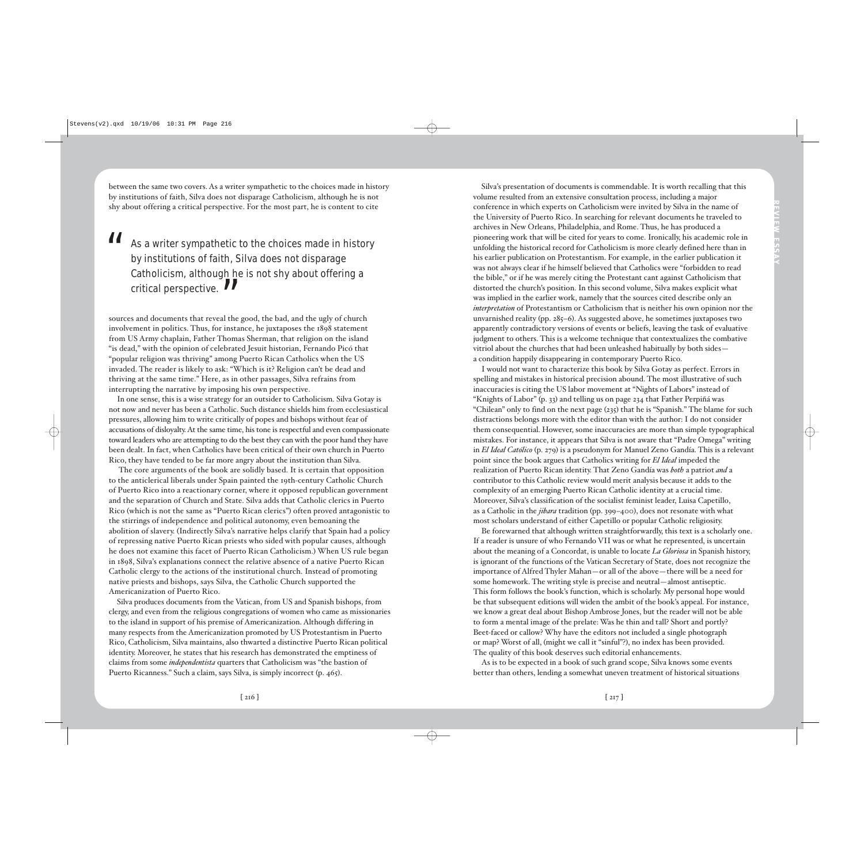between the same two covers. As a writer sympathetic to the choices made in history by institutions of faith, Silva does not disparage Catholicism, although he is not shy about offering a critical perspective. For the most part, he is content to cite

 $\blacksquare$  As a writer sympathetic to the choices made in history by institutions of faith, Silva does not disparage Catholicism, although he is not shy about offering a critical perspective.  $\blacksquare$ 

sources and documents that reveal the good, the bad, and the ugly of church involvement in politics. Thus, for instance, he juxtaposes the 1898 statement from US Army chaplain, Father Thomas Sherman, that religion on the island "is dead," with the opinion of celebrated Jesuit historian, Fernando Picó that "popular religion was thriving" among Puerto Rican Catholics when the US invaded. The reader is likely to ask: "Which is it? Religion can't be dead and thriving at the same time." Here, as in other passages, Silva refrains from interrupting the narrative by imposing his own perspective.

In one sense, this is a wise strategy for an outsider to Catholicism. Silva Gotay is not now and never has been a Catholic. Such distance shields him from ecclesiastical pressures, allowing him to write critically of popes and bishops without fear of accusations of disloyalty. At the same time, his tone is respectful and even compassionate toward leaders who are attempting to do the best they can with the poor hand they have been dealt. In fact, when Catholics have been critical of their own church in Puerto Rico, they have tended to be far more angry about the institution than Silva.

The core arguments of the book are solidly based. It is certain that opposition to the anticlerical liberals under Spain painted the 19th-century Catholic Church of Puerto Rico into a reactionary corner, where it opposed republican government and the separation of Church and State. Silva adds that Catholic clerics in Puerto Rico (which is not the same as "Puerto Rican clerics") often proved antagonistic to the stirrings of independence and political autonomy, even bemoaning the abolition of slavery. (Indirectly Silva's narrative helps clarify that Spain had a policy of repressing native Puerto Rican priests who sided with popular causes, although he does not examine this facet of Puerto Rican Catholicism.) When US rule began in 1898, Silva's explanations connect the relative absence of a native Puerto Rican Catholic clergy to the actions of the institutional church. Instead of promoting native priests and bishops, says Silva, the Catholic Church supported the Americanization of Puerto Rico.

Silva produces documents from the Vatican, from US and Spanish bishops, from clergy, and even from the religious congregations of women who came as missionaries to the island in support of his premise of Americanization. Although differing in many respects from the Americanization promoted by US Protestantism in Puerto Rico, Catholicism, Silva maintains, also thwarted a distinctive Puerto Rican political identity. Moreover, he states that his research has demonstrated the emptiness of claims from some *independentista* quarters that Catholicism was "the bastion of Puerto Ricanness." Such a claim, says Silva, is simply incorrect (p. 465).

Silva's presentation of documents is commendable. It is worth recalling that this volume resulted from an extensive consultation process, including a major conference in which experts on Catholicism were invited by Silva in the name of the University of Puerto Rico. In searching for relevant documents he traveled to archives in New Orleans, Philadelphia, and Rome. Thus, he has produced a pioneering work that will be cited for years to come. Ironically, his academic role in unfolding the historical record for Catholicism is more clearly defined here than in his earlier publication on Protestantism. For example, in the earlier publication it was not always clear if he himself believed that Catholics were "forbidden to read the bible," or if he was merely citing the Protestant cant against Catholicism that distorted the church's position. In this second volume, Silva makes explicit what was implied in the earlier work, namely that the sources cited describe only an *interpretation* of Protestantism or Catholicism that is neither his own opinion nor the unvarnished reality (pp. 285–6). As suggested above, he sometimes juxtaposes two apparently contradictory versions of events or beliefs, leaving the task of evaluative judgment to others. This is a welcome technique that contextualizes the combative vitriol about the churches that had been unleashed habitually by both sides a condition happily disappearing in contemporary Puerto Rico.

**REVIEW**

**ESSAY**

I would not want to characterize this book by Silva Gotay as perfect. Errors in spelling and mistakes in historical precision abound. The most illustrative of such inaccuracies is citing the US labor movement at "Nights of Labors" instead of "Knights of Labor" (p. 33) and telling us on page 234 that Father Perpiñá was "Chilean" only to find on the next page (235) that he is "Spanish." The blame for such distractions belongs more with the editor than with the author: I do not consider them consequential. However, some inaccuracies are more than simple typographical mistakes. For instance, it appears that Silva is not aware that "Padre Omega" writing in *El Ideal Católico* (p. 279) is a pseudonym for Manuel Zeno Gandía. This is a relevant point since the book argues that Catholics writing for *El Ideal* impeded the realization of Puerto Rican identity. That Zeno Gandía was *both* a patriot *and* a contributor to this Catholic review would merit analysis because it adds to the complexity of an emerging Puerto Rican Catholic identity at a crucial time. Moreover, Silva's classification of the socialist feminist leader, Luisa Capetillo, as a Catholic in the *jibara* tradition (pp. 399–400), does not resonate with what most scholars understand of either Capetillo or popular Catholic religiosity.

Be forewarned that although written straightforwardly, this text is a scholarly one. If a reader is unsure of who Fernando VII was or what he represented, is uncertain about the meaning of a Concordat, is unable to locate *La Gloriosa* in Spanish history, is ignorant of the functions of the Vatican Secretary of State, does not recognize the importance of Alfred Thyler Mahan—or all of the above—there will be a need for some homework. The writing style is precise and neutral—almost antiseptic. This form follows the book's function, which is scholarly. My personal hope would be that subsequent editions will widen the ambit of the book's appeal. For instance, we know a great deal about Bishop Ambrose Jones, but the reader will not be able to form a mental image of the prelate: Was he thin and tall? Short and portly? Beet-faced or callow? Why have the editors not included a single photograph or map? Worst of all, (might we call it "sinful"?), no index has been provided. The quality of this book deserves such editorial enhancements.

As is to be expected in a book of such grand scope, Silva knows some events better than others, lending a somewhat uneven treatment of historical situations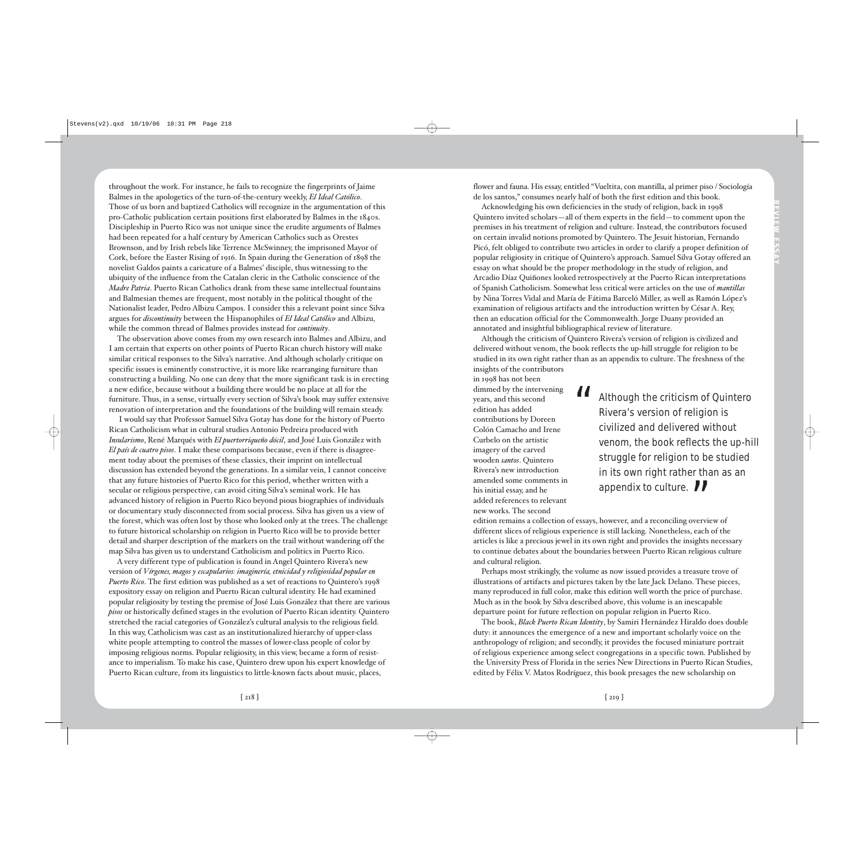throughout the work. For instance, he fails to recognize the fingerprints of Jaime Balmes in the apologetics of the turn-of-the-century weekly, *El Ideal Católico*. Those of us born and baptized Catholics will recognize in the argumentation of this pro-Catholic publication certain positions first elaborated by Balmes in the 1840s. Discipleship in Puerto Rico was not unique since the erudite arguments of Balmes had been repeated for a half century by American Catholics such as Orestes Brownson, and by Irish rebels like Terrence McSwinney, the imprisoned Mayor of Cork, before the Easter Rising of 1916. In Spain during the Generation of 1898 the novelist Galdos paints a caricature of a Balmes' disciple, thus witnessing to the ubiquity of the influence from the Catalan cleric in the Catholic conscience of the *Madre Patria*. Puerto Rican Catholics drank from these same intellectual fountains and Balmesian themes are frequent, most notably in the political thought of the Nationalist leader, Pedro Albizu Campos. I consider this a relevant point since Silva argues for *discontinuity* between the Hispanophiles of *El Ideal Católico* and Albizu, while the common thread of Balmes provides instead for *continuity*.

The observation above comes from my own research into Balmes and Albizu, and I am certain that experts on other points of Puerto Rican church history will make similar critical responses to the Silva's narrative. And although scholarly critique on specific issues is eminently constructive, it is more like rearranging furniture than constructing a building. No one can deny that the more significant task is in erecting a new edifice, because without a building there would be no place at all for the furniture. Thus, in a sense, virtually every section of Silva's book may suffer extensive renovation of interpretation and the foundations of the building will remain steady.

I would say that Professor Samuel Silva Gotay has done for the history of Puerto Rican Catholicism what in cultural studies Antonio Pedreira produced with *Insularismo*, René Marqués with *El puertorriqueño dócil*, and José Luis González with *El país de cuatro pisos*. I make these comparisons because, even if there is disagreement today about the premises of these classics, their imprint on intellectual discussion has extended beyond the generations. In a similar vein, I cannot conceive that any future histories of Puerto Rico for this period, whether written with a secular or religious perspective, can avoid citing Silva's seminal work. He has advanced history of religion in Puerto Rico beyond pious biographies of individuals or documentary study disconnected from social process. Silva has given us a view of the forest, which was often lost by those who looked only at the trees. The challenge to future historical scholarship on religion in Puerto Rico will be to provide better detail and sharper description of the markers on the trail without wandering off the map Silva has given us to understand Catholicism and politics in Puerto Rico.

A very different type of publication is found in Angel Quintero Rivera's new version of *Vírgenes, magos y escapularios: imaginería, etnicidad y religiosidad popular en Puerto Rico*. The first edition was published as a set of reactions to Quintero's 1998 expository essay on religion and Puerto Rican cultural identity. He had examined popular religiosity by testing the premise of José Luis González that there are various *pisos* or historically defined stages in the evolution of Puerto Rican identity. Quintero stretched the racial categories of González's cultural analysis to the religious field. In this way, Catholicism was cast as an institutionalized hierarchy of upper-class white people attempting to control the masses of lower-class people of color by imposing religious norms. Popular religiosity, in this view, became a form of resistance to imperialism. To make his case, Quintero drew upon his expert knowledge of Puerto Rican culture, from its linguistics to little-known facts about music, places,

flower and fauna. His essay, entitled "Vueltita, con mantilla, al primer piso / Sociología de los santos," consumes nearly half of both the first edition and this book.

Acknowledging his own deficiencies in the study of religion, back in 1998 Quintero invited scholars—all of them experts in the field—to comment upon the premises in his treatment of religion and culture. Instead, the contributors focused on certain invalid notions promoted by Quintero. The Jesuit historian, Fernando Picó, felt obliged to contribute two articles in order to clarify a proper definition of popular religiosity in critique of Quintero's approach. Samuel Silva Gotay offered an essay on what should be the proper methodology in the study of religion, and Arcadio Díaz Quiñones looked retrospectively at the Puerto Rican interpretations of Spanish Catholicism. Somewhat less critical were articles on the use of *mantillas* by Nina Torres Vidal and María de Fátima Barceló Miller, as well as Ramón López's examination of religious artifacts and the introduction written by César A. Rey, then an education official for the Commonwealth. Jorge Duany provided an annotated and insightful bibliographical review of literature.

Although the criticism of Quintero Rivera's version of religion is civilized and delivered without venom, the book reflects the up-hill struggle for religion to be studied in its own right rather than as an appendix to culture. The freshness of the insights of the contributors

in 1998 has not been dimmed by the intervening years, and this second edition has added contributions by Doreen Colón Camacho and Irene Curbelo on the artistic imagery of the carved wooden *santos*. Quintero Rivera's new introduction amended some comments in his initial essay, and he added references to relevant new works. The second

II Although the criticism of Quintero Rivera's version of religion is civilized and delivered without venom, the book reflects the up-hill struggle for religion to be studied in its own right rather than as an appendix to culture.  $\blacksquare$ 

edition remains a collection of essays, however, and a reconciling overview of different slices of religious experience is still lacking. Nonetheless, each of the articles is like a precious jewel in its own right and provides the insights necessary to continue debates about the boundaries between Puerto Rican religious culture and cultural religion.

Perhaps most strikingly, the volume as now issued provides a treasure trove of illustrations of artifacts and pictures taken by the late Jack Delano. These pieces, many reproduced in full color, make this edition well worth the price of purchase. Much as in the book by Silva described above, this volume is an inescapable departure point for future reflection on popular religion in Puerto Rico.

The book, *Black Puerto Rican Identity*, by Samiri Hernández Hiraldo does double duty: it announces the emergence of a new and important scholarly voice on the anthropology of religion; and secondly, it provides the focused miniature portrait of religious experience among select congregations in a specific town. Published by the University Press of Florida in the series New Directions in Puerto Rican Studies, edited by Félix V. Matos Rodríguez, this book presages the new scholarship on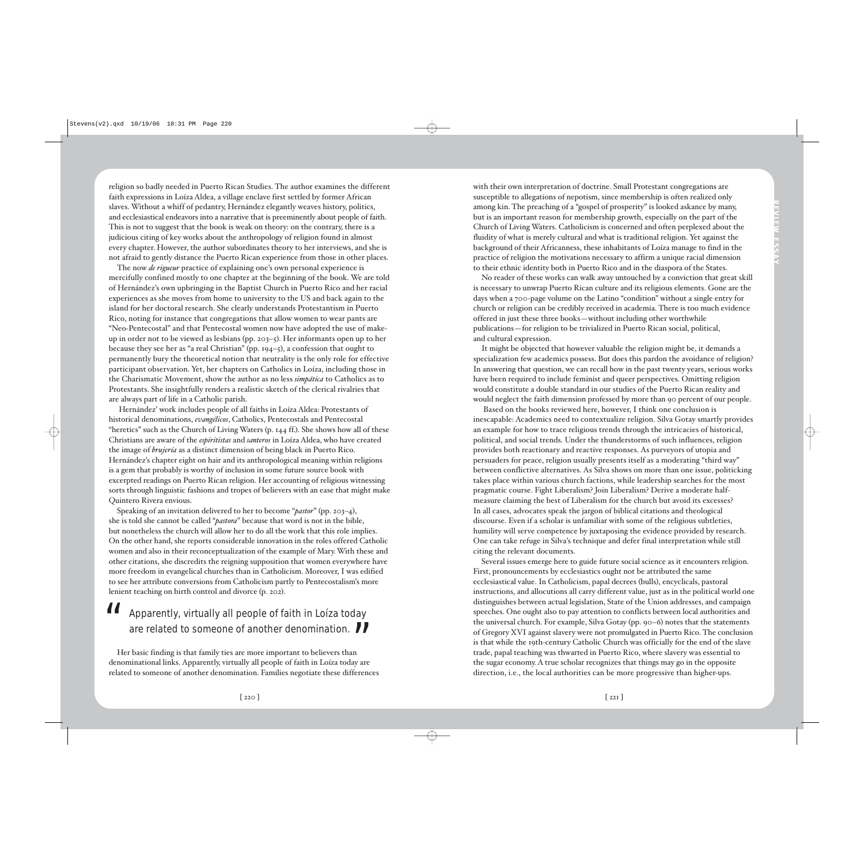religion so badly needed in Puerto Rican Studies. The author examines the different faith expressions in Loíza Aldea, a village enclave first settled by former African slaves. Without a whiff of pedantry, Hernández elegantly weaves history, politics, and ecclesiastical endeavors into a narrative that is preeminently about people of faith. This is not to suggest that the book is weak on theory: on the contrary, there is a judicious citing of key works about the anthropology of religion found in almost every chapter. However, the author subordinates theory to her interviews, and she is not afraid to gently distance the Puerto Rican experience from those in other places.

The now *de rigueur* practice of explaining one's own personal experience is mercifully confined mostly to one chapter at the beginning of the book. We are told of Hernández's own upbringing in the Baptist Church in Puerto Rico and her racial experiences as she moves from home to university to the US and back again to the island for her doctoral research. She clearly understands Protestantism in Puerto Rico, noting for instance that congregations that allow women to wear pants are "Neo-Pentecostal" and that Pentecostal women now have adopted the use of makeup in order not to be viewed as lesbians (pp. 203–5). Her informants open up to her because they see her as "a real Christian" (pp. 194–5), a confession that ought to permanently bury the theoretical notion that neutrality is the only role for effective participant observation. Yet, her chapters on Catholics in Loíza, including those in the Charismatic Movement, show the author as no less *simpática* to Catholics as to Protestants. She insightfully renders a realistic sketch of the clerical rivalries that are always part of life in a Catholic parish. relagion so bally metaled in Puerto Rican Studies. The author examines the diffusion as some of all procedure and some of the some of another some of another denomination. Since the some of a some of a stevens (Window and

Hernández' work includes people of all faiths in Loíza Aldea: Protestants of historical denominations, *evangélicos*, Catholics, Pentecostals and Pentecostal "heretics" such as the Church of Living Waters (p. 144 ff.). She shows how all of these Christians are aware of the *espiritistas* and *santeros* in Loíza Aldea, who have created the image of *brujería* as a distinct dimension of being black in Puerto Rico. Hernández's chapter eight on hair and its anthropological meaning within religions is a gem that probably is worthy of inclusion in some future source book with excerpted readings on Puerto Rican religion. Her accounting of religious witnessing sorts through linguistic fashions and tropes of believers with an ease that might make Quintero Rivera envious.

Speaking of an invitation delivered to her to become "*pastor*" (pp. 203–4), she is told she cannot be called "*pastora*" because that word is not in the bible, but nonetheless the church will allow her to do all the work that this role implies. On the other hand, she reports considerable innovation in the roles offered Catholic women and also in their reconceptualization of the example of Mary. With these and other citations, she discredits the reigning supposition that women everywhere have more freedom in evangelical churches than in Catholicism. Moreover, I was edified to see her attribute conversions from Catholicism partly to Pentecostalism's more lenient teaching on birth control and divorce (p. 202).

## All Apparently, virtually all people of faith in Loíza today<br>are related to someone of another denomination.

Her basic finding is that family ties are more important to believers than denominational links. Apparently, virtually all people of faith in Loíza today are related to someone of another denomination. Families negotiate these differences with their own interpretation of doctrine. Small Protestant congregations are susceptible to allegations of nepotism, since membership is often realized only among kin. The preaching of a "gospel of prosperity" is looked askance by many, but is an important reason for membership growth, especially on the part of the Church of Living Waters. Catholicism is concerned and often perplexed about the fluidity of what is merely cultural and what is traditional religion. Yet against the background of their Africanness, these inhabitants of Loíza manage to find in the practice of religion the motivations necessary to affirm a unique racial dimension to their ethnic identity both in Puerto Rico and in the diaspora of the States.

No reader of these works can walk away untouched by a conviction that great skill is necessary to unwrap Puerto Rican culture and its religious elements. Gone are the days when a 700-page volume on the Latino "condition" without a single entry for church or religion can be credibly received in academia. There is too much evidence offered in just these three books—without including other worthwhile publications—for religion to be trivialized in Puerto Rican social, political, and cultural expression.

It might be objected that however valuable the religion might be, it demands a specialization few academics possess. But does this pardon the avoidance of religion? In answering that question, we can recall how in the past twenty years, serious works have been required to include feminist and queer perspectives. Omitting religion would constitute a double standard in our studies of the Puerto Rican reality and would neglect the faith dimension professed by more than 90 percent of our people.

Based on the books reviewed here, however, I think one conclusion is inescapable: Academics need to contextualize religion. Silva Gotay smartly provides an example for how to trace religious trends through the intricacies of historical, political, and social trends. Under the thunderstorms of such influences, religion provides both reactionary and reactive responses. As purveyors of utopia and persuaders for peace, religion usually presents itself as a moderating "third way" between conflictive alternatives. As Silva shows on more than one issue, politicking takes place within various church factions, while leadership searches for the most pragmatic course. Fight Liberalism? Join Liberalism? Derive a moderate halfmeasure claiming the best of Liberalism for the church but avoid its excesses? In all cases, advocates speak the jargon of biblical citations and theological discourse. Even if a scholar is unfamiliar with some of the religious subtleties, humility will serve competence by juxtaposing the evidence provided by research. One can take refuge in Silva's technique and defer final interpretation while still citing the relevant documents.

Several issues emerge here to guide future social science as it encounters religion. First, pronouncements by ecclesiastics ought not be attributed the same ecclesiastical value. In Catholicism, papal decrees (bulls), encyclicals, pastoral instructions, and allocutions all carry different value, just as in the political world one distinguishes between actual legislation, State of the Union addresses, and campaign speeches. One ought also to pay attention to conflicts between local authorities and the universal church. For example, Silva Gotay (pp. 90–6) notes that the statements of Gregory XVI against slavery were not promulgated in Puerto Rico. The conclusion is that while the 19th-century Catholic Church was officially for the end of the slave trade, papal teaching was thwarted in Puerto Rico, where slavery was essential to the sugar economy. A true scholar recognizes that things may go in the opposite direction, i.e., the local authorities can be more progressive than higher-ups.